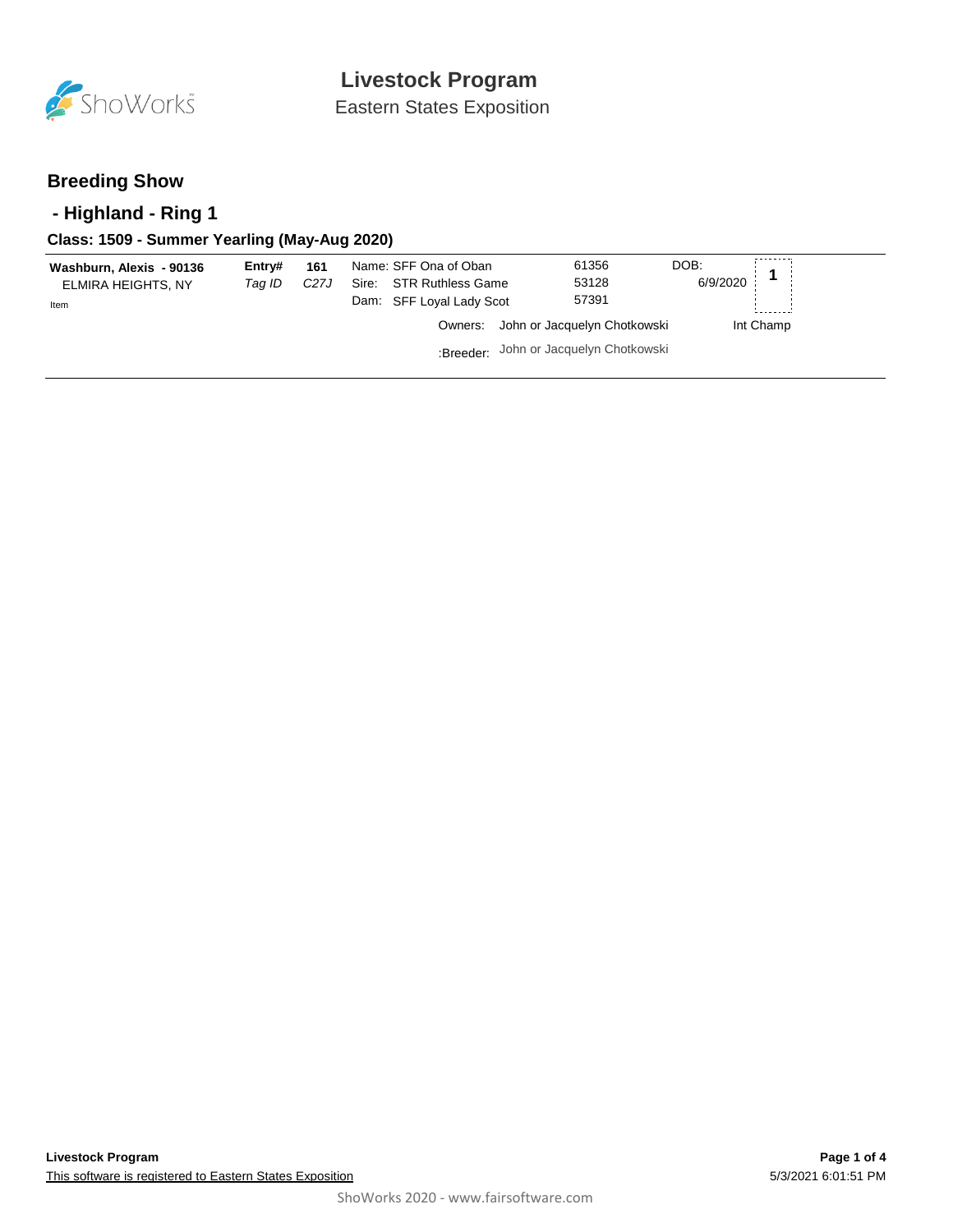

Eastern States Exposition

## **Breeding Show**

## **- Highland - Ring 1**

### **Class: 1509 - Summer Yearling (May-Aug 2020)**

| Washburn, Alexis - 90136<br>ELMIRA HEIGHTS, NY | Entry#<br>Taq ID | 161<br>C <sub>27</sub> J | Name: SFF Ona of Oban<br>Sire: STR Ruthless Game | 61356<br>53128                         | DOB:<br>6/9/2020 |
|------------------------------------------------|------------------|--------------------------|--------------------------------------------------|----------------------------------------|------------------|
| Item                                           |                  |                          | Dam: SFF Loyal Lady Scot                         | 57391                                  |                  |
|                                                |                  |                          | Owners:                                          | John or Jacquelyn Chotkowski           | Int Champ        |
|                                                |                  |                          |                                                  | :Breeder: John or Jacquelyn Chotkowski |                  |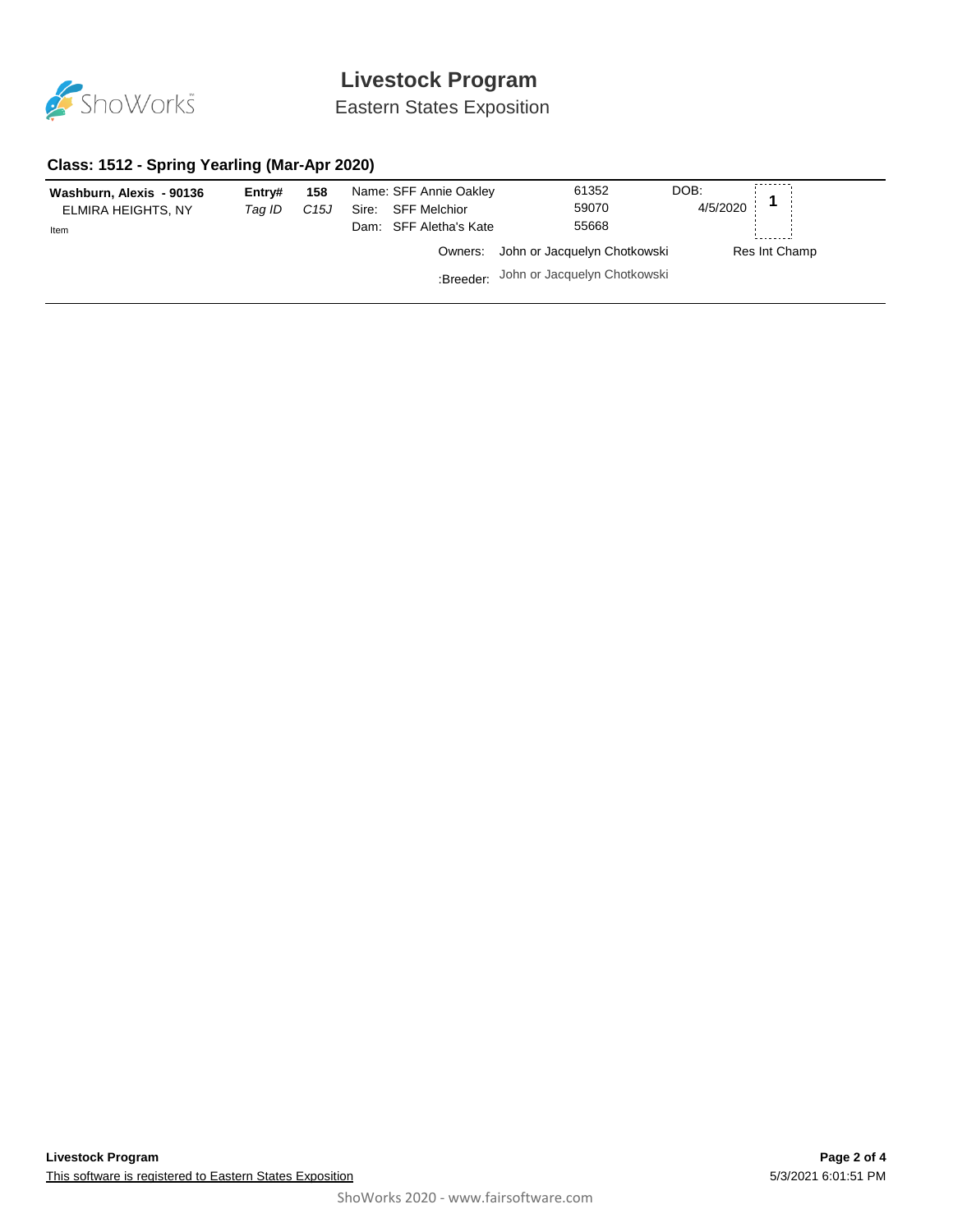

# **Livestock Program**

Eastern States Exposition

#### **Class: 1512 - Spring Yearling (Mar-Apr 2020)**

| Washburn, Alexis - 90136<br>ELMIRA HEIGHTS, NY<br>Item | Entrv#<br>Tag ID | 158<br>C15J | Sire: | Name: SFF Annie Oakley<br><b>SFF Melchior</b><br>Dam: SFF Aletha's Kate | 61352<br>59070<br>55668                | DOB:<br>4/5/2020 |               |
|--------------------------------------------------------|------------------|-------------|-------|-------------------------------------------------------------------------|----------------------------------------|------------------|---------------|
|                                                        |                  |             |       |                                                                         | Owners: John or Jacquelyn Chotkowski   |                  | Res Int Champ |
|                                                        |                  |             |       |                                                                         | :Breeder: John or Jacquelyn Chotkowski |                  |               |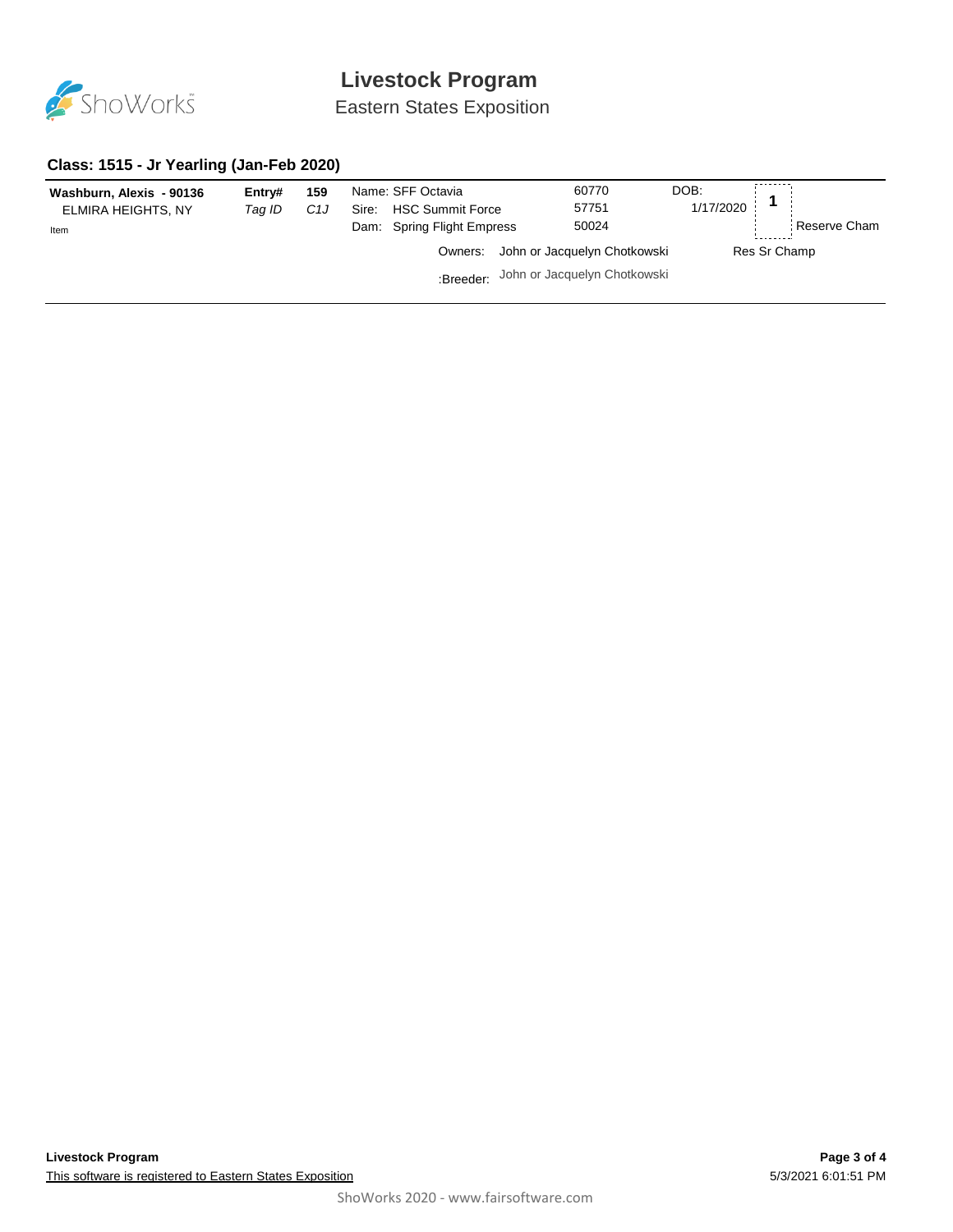

# **Livestock Program**

Eastern States Exposition

### **Class: 1515 - Jr Yearling (Jan-Feb 2020)**

| Washburn, Alexis - 90136<br>ELMIRA HEIGHTS, NY<br>Item | Entry#<br>Taq ID | 159<br>C1J | Name: SFF Octavia<br>Sire:<br><b>HSC Summit Force</b><br>Dam: Spring Flight Empress |                              | 60770<br>57751<br>50024                | DOB:<br>1/17/2020 |  | Reserve Cham |
|--------------------------------------------------------|------------------|------------|-------------------------------------------------------------------------------------|------------------------------|----------------------------------------|-------------------|--|--------------|
|                                                        |                  |            | Owners:                                                                             | John or Jacquelyn Chotkowski |                                        | Res Sr Champ      |  |              |
|                                                        |                  |            |                                                                                     |                              | :Breeder: John or Jacquelyn Chotkowski |                   |  |              |